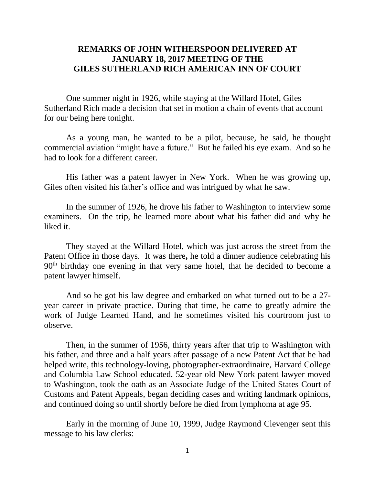# **REMARKS OF JOHN WITHERSPOON DELIVERED AT JANUARY 18, 2017 MEETING OF THE GILES SUTHERLAND RICH AMERICAN INN OF COURT**

One summer night in 1926, while staying at the Willard Hotel, Giles Sutherland Rich made a decision that set in motion a chain of events that account for our being here tonight.

As a young man, he wanted to be a pilot, because, he said, he thought commercial aviation "might have a future." But he failed his eye exam. And so he had to look for a different career.

His father was a patent lawyer in New York. When he was growing up, Giles often visited his father's office and was intrigued by what he saw.

In the summer of 1926, he drove his father to Washington to interview some examiners. On the trip, he learned more about what his father did and why he liked it.

They stayed at the Willard Hotel, which was just across the street from the Patent Office in those days. It was there**,** he told a dinner audience celebrating his 90th birthday one evening in that very same hotel, that he decided to become a patent lawyer himself.

And so he got his law degree and embarked on what turned out to be a 27 year career in private practice. During that time, he came to greatly admire the work of Judge Learned Hand, and he sometimes visited his courtroom just to observe.

Then, in the summer of 1956, thirty years after that trip to Washington with his father, and three and a half years after passage of a new Patent Act that he had helped write, this technology-loving, photographer-extraordinaire, Harvard College and Columbia Law School educated, 52-year old New York patent lawyer moved to Washington, took the oath as an Associate Judge of the United States Court of Customs and Patent Appeals, began deciding cases and writing landmark opinions, and continued doing so until shortly before he died from lymphoma at age 95.

Early in the morning of June 10, 1999, Judge Raymond Clevenger sent this message to his law clerks: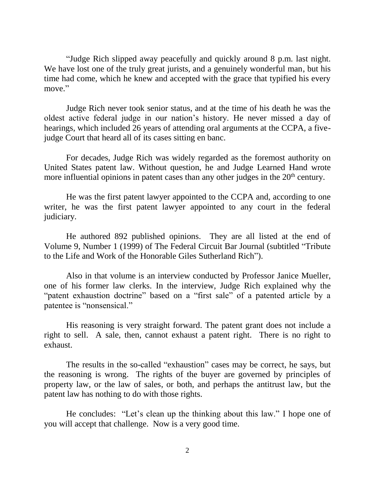"Judge Rich slipped away peacefully and quickly around 8 p.m. last night. We have lost one of the truly great jurists, and a genuinely wonderful man, but his time had come, which he knew and accepted with the grace that typified his every move."

Judge Rich never took senior status, and at the time of his death he was the oldest active federal judge in our nation's history. He never missed a day of hearings, which included 26 years of attending oral arguments at the CCPA, a fivejudge Court that heard all of its cases sitting en banc.

For decades, Judge Rich was widely regarded as the foremost authority on United States patent law. Without question, he and Judge Learned Hand wrote more influential opinions in patent cases than any other judges in the  $20<sup>th</sup>$  century.

He was the first patent lawyer appointed to the CCPA and, according to one writer, he was the first patent lawyer appointed to any court in the federal judiciary.

He authored 892 published opinions. They are all listed at the end of Volume 9, Number 1 (1999) of The Federal Circuit Bar Journal (subtitled "Tribute to the Life and Work of the Honorable Giles Sutherland Rich").

Also in that volume is an interview conducted by Professor Janice Mueller, one of his former law clerks. In the interview, Judge Rich explained why the "patent exhaustion doctrine" based on a "first sale" of a patented article by a patentee is "nonsensical."

His reasoning is very straight forward. The patent grant does not include a right to sell. A sale, then, cannot exhaust a patent right. There is no right to exhaust.

The results in the so-called "exhaustion" cases may be correct, he says, but the reasoning is wrong. The rights of the buyer are governed by principles of property law, or the law of sales, or both, and perhaps the antitrust law, but the patent law has nothing to do with those rights.

He concludes: "Let's clean up the thinking about this law." I hope one of you will accept that challenge. Now is a very good time.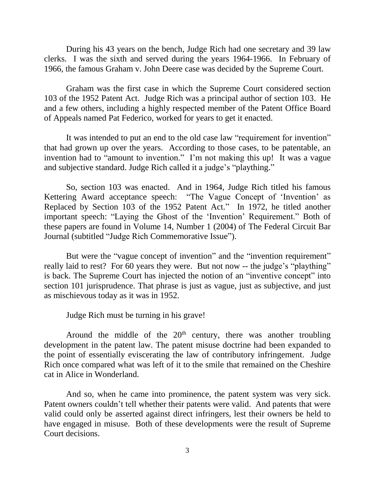During his 43 years on the bench, Judge Rich had one secretary and 39 law clerks. I was the sixth and served during the years 1964-1966. In February of 1966, the famous Graham v. John Deere case was decided by the Supreme Court.

Graham was the first case in which the Supreme Court considered section 103 of the 1952 Patent Act. Judge Rich was a principal author of section 103. He and a few others, including a highly respected member of the Patent Office Board of Appeals named Pat Federico, worked for years to get it enacted.

It was intended to put an end to the old case law "requirement for invention" that had grown up over the years. According to those cases, to be patentable, an invention had to "amount to invention." I'm not making this up! It was a vague and subjective standard. Judge Rich called it a judge's "plaything."

So, section 103 was enacted. And in 1964, Judge Rich titled his famous Kettering Award acceptance speech: "The Vague Concept of 'Invention' as Replaced by Section 103 of the 1952 Patent Act." In 1972, he titled another important speech: "Laying the Ghost of the 'Invention' Requirement." Both of these papers are found in Volume 14, Number 1 (2004) of The Federal Circuit Bar Journal (subtitled "Judge Rich Commemorative Issue").

But were the "vague concept of invention" and the "invention requirement" really laid to rest? For 60 years they were. But not now -- the judge's "plaything" is back. The Supreme Court has injected the notion of an "inventive concept" into section 101 jurisprudence. That phrase is just as vague, just as subjective, and just as mischievous today as it was in 1952.

Judge Rich must be turning in his grave!

Around the middle of the  $20<sup>th</sup>$  century, there was another troubling development in the patent law. The patent misuse doctrine had been expanded to the point of essentially eviscerating the law of contributory infringement. Judge Rich once compared what was left of it to the smile that remained on the Cheshire cat in Alice in Wonderland.

And so, when he came into prominence, the patent system was very sick. Patent owners couldn't tell whether their patents were valid. And patents that were valid could only be asserted against direct infringers, lest their owners be held to have engaged in misuse. Both of these developments were the result of Supreme Court decisions.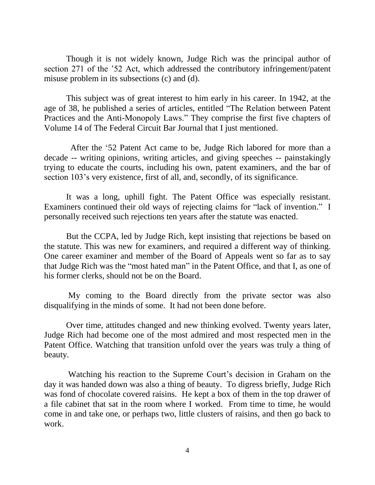Though it is not widely known, Judge Rich was the principal author of section 271 of the '52 Act, which addressed the contributory infringement/patent misuse problem in its subsections (c) and (d).

This subject was of great interest to him early in his career. In 1942, at the age of 38, he published a series of articles, entitled "The Relation between Patent Practices and the Anti-Monopoly Laws." They comprise the first five chapters of Volume 14 of The Federal Circuit Bar Journal that I just mentioned.

After the '52 Patent Act came to be, Judge Rich labored for more than a decade -- writing opinions, writing articles, and giving speeches -- painstakingly trying to educate the courts, including his own, patent examiners, and the bar of section 103's very existence, first of all, and, secondly, of its significance.

It was a long, uphill fight. The Patent Office was especially resistant. Examiners continued their old ways of rejecting claims for "lack of invention." I personally received such rejections ten years after the statute was enacted.

But the CCPA, led by Judge Rich, kept insisting that rejections be based on the statute. This was new for examiners, and required a different way of thinking. One career examiner and member of the Board of Appeals went so far as to say that Judge Rich was the "most hated man" in the Patent Office, and that I, as one of his former clerks, should not be on the Board.

My coming to the Board directly from the private sector was also disqualifying in the minds of some. It had not been done before.

Over time, attitudes changed and new thinking evolved. Twenty years later, Judge Rich had become one of the most admired and most respected men in the Patent Office. Watching that transition unfold over the years was truly a thing of beauty.

Watching his reaction to the Supreme Court's decision in Graham on the day it was handed down was also a thing of beauty. To digress briefly, Judge Rich was fond of chocolate covered raisins. He kept a box of them in the top drawer of a file cabinet that sat in the room where I worked. From time to time, he would come in and take one, or perhaps two, little clusters of raisins, and then go back to work.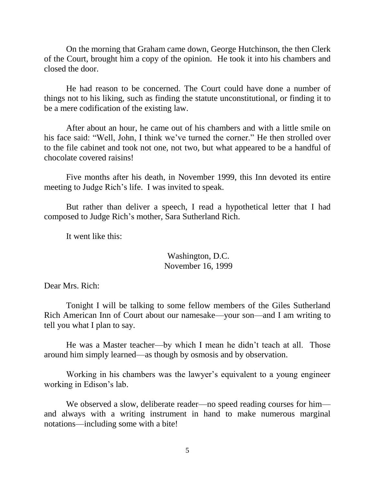On the morning that Graham came down, George Hutchinson, the then Clerk of the Court, brought him a copy of the opinion. He took it into his chambers and closed the door.

He had reason to be concerned. The Court could have done a number of things not to his liking, such as finding the statute unconstitutional, or finding it to be a mere codification of the existing law.

After about an hour, he came out of his chambers and with a little smile on his face said: "Well, John, I think we've turned the corner." He then strolled over to the file cabinet and took not one, not two, but what appeared to be a handful of chocolate covered raisins!

Five months after his death, in November 1999, this Inn devoted its entire meeting to Judge Rich's life. I was invited to speak.

But rather than deliver a speech, I read a hypothetical letter that I had composed to Judge Rich's mother, Sara Sutherland Rich.

It went like this:

Washington, D.C. November 16, 1999

Dear Mrs. Rich:

Tonight I will be talking to some fellow members of the Giles Sutherland Rich American Inn of Court about our namesake—your son—and I am writing to tell you what I plan to say.

He was a Master teacher—by which I mean he didn't teach at all. Those around him simply learned—as though by osmosis and by observation.

Working in his chambers was the lawyer's equivalent to a young engineer working in Edison's lab.

We observed a slow, deliberate reader—no speed reading courses for him and always with a writing instrument in hand to make numerous marginal notations—including some with a bite!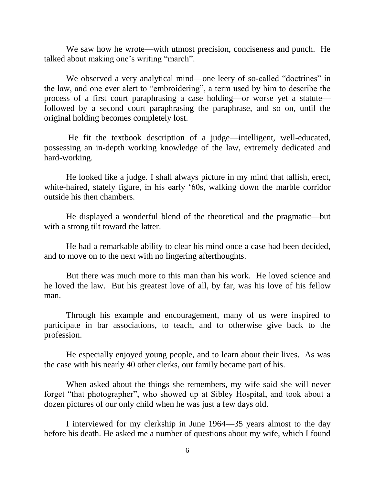We saw how he wrote—with utmost precision, conciseness and punch. He talked about making one's writing "march".

We observed a very analytical mind—one leery of so-called "doctrines" in the law, and one ever alert to "embroidering", a term used by him to describe the process of a first court paraphrasing a case holding—or worse yet a statute followed by a second court paraphrasing the paraphrase, and so on, until the original holding becomes completely lost.

He fit the textbook description of a judge—intelligent, well-educated, possessing an in-depth working knowledge of the law, extremely dedicated and hard-working.

He looked like a judge. I shall always picture in my mind that tallish, erect, white-haired, stately figure, in his early '60s, walking down the marble corridor outside his then chambers.

He displayed a wonderful blend of the theoretical and the pragmatic—but with a strong tilt toward the latter.

He had a remarkable ability to clear his mind once a case had been decided, and to move on to the next with no lingering afterthoughts.

But there was much more to this man than his work. He loved science and he loved the law. But his greatest love of all, by far, was his love of his fellow man.

Through his example and encouragement, many of us were inspired to participate in bar associations, to teach, and to otherwise give back to the profession.

He especially enjoyed young people, and to learn about their lives. As was the case with his nearly 40 other clerks, our family became part of his.

When asked about the things she remembers, my wife said she will never forget "that photographer", who showed up at Sibley Hospital, and took about a dozen pictures of our only child when he was just a few days old.

I interviewed for my clerkship in June 1964—35 years almost to the day before his death. He asked me a number of questions about my wife, which I found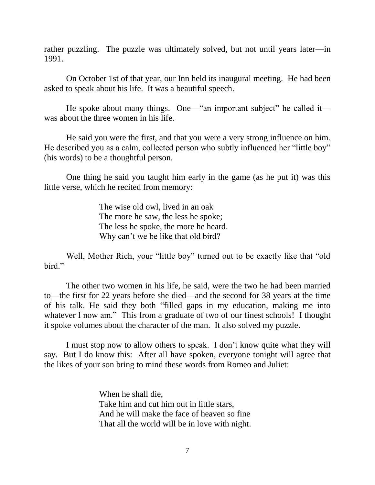rather puzzling. The puzzle was ultimately solved, but not until years later—in 1991.

On October 1st of that year, our Inn held its inaugural meeting. He had been asked to speak about his life. It was a beautiful speech.

He spoke about many things. One—"an important subject" he called it was about the three women in his life.

He said you were the first, and that you were a very strong influence on him. He described you as a calm, collected person who subtly influenced her "little boy" (his words) to be a thoughtful person.

One thing he said you taught him early in the game (as he put it) was this little verse, which he recited from memory:

> The wise old owl, lived in an oak The more he saw, the less he spoke; The less he spoke, the more he heard. Why can't we be like that old bird?

Well, Mother Rich, your "little boy" turned out to be exactly like that "old bird."

The other two women in his life, he said, were the two he had been married to—the first for 22 years before she died—and the second for 38 years at the time of his talk. He said they both "filled gaps in my education, making me into whatever I now am." This from a graduate of two of our finest schools! I thought it spoke volumes about the character of the man. It also solved my puzzle.

I must stop now to allow others to speak. I don't know quite what they will say. But I do know this: After all have spoken, everyone tonight will agree that the likes of your son bring to mind these words from Romeo and Juliet:

> When he shall die, Take him and cut him out in little stars, And he will make the face of heaven so fine That all the world will be in love with night.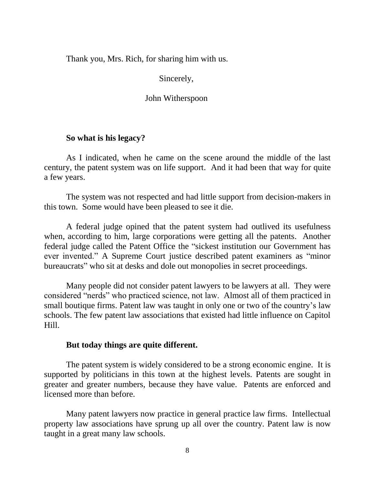Thank you, Mrs. Rich, for sharing him with us.

## Sincerely,

## John Witherspoon

# **So what is his legacy?**

As I indicated, when he came on the scene around the middle of the last century, the patent system was on life support. And it had been that way for quite a few years.

The system was not respected and had little support from decision-makers in this town. Some would have been pleased to see it die.

A federal judge opined that the patent system had outlived its usefulness when, according to him, large corporations were getting all the patents. Another federal judge called the Patent Office the "sickest institution our Government has ever invented." A Supreme Court justice described patent examiners as "minor bureaucrats" who sit at desks and dole out monopolies in secret proceedings.

Many people did not consider patent lawyers to be lawyers at all. They were considered "nerds" who practiced science, not law. Almost all of them practiced in small boutique firms. Patent law was taught in only one or two of the country's law schools. The few patent law associations that existed had little influence on Capitol Hill.

#### **But today things are quite different.**

The patent system is widely considered to be a strong economic engine. It is supported by politicians in this town at the highest levels. Patents are sought in greater and greater numbers, because they have value. Patents are enforced and licensed more than before.

Many patent lawyers now practice in general practice law firms. Intellectual property law associations have sprung up all over the country. Patent law is now taught in a great many law schools.